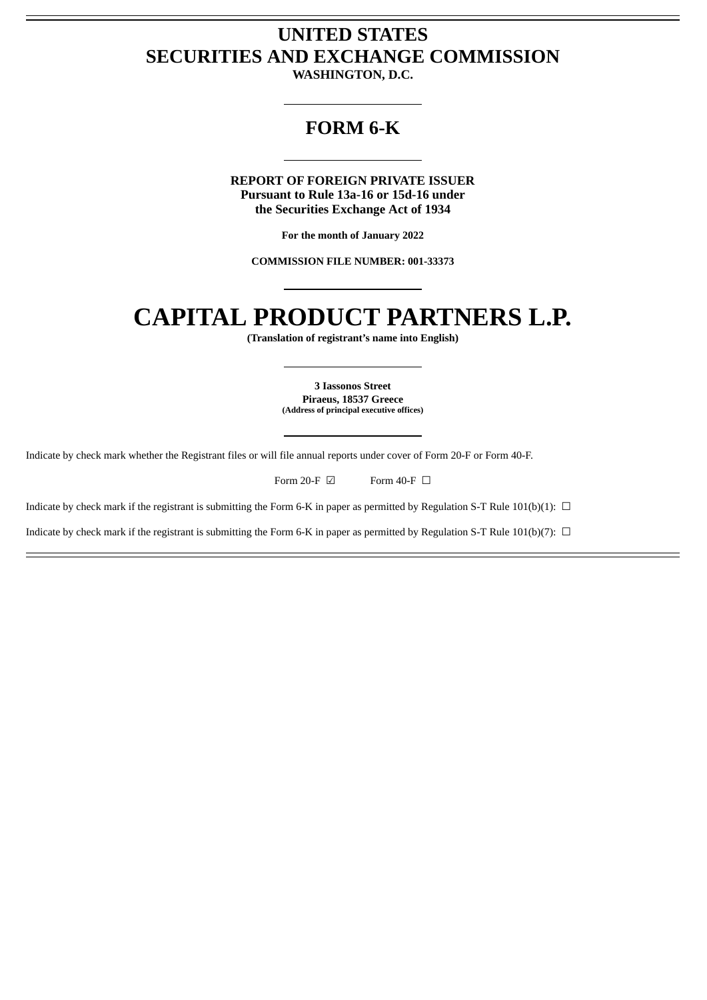## **UNITED STATES SECURITIES AND EXCHANGE COMMISSION**

**WASHINGTON, D.C.**

### **FORM 6-K**

**REPORT OF FOREIGN PRIVATE ISSUER Pursuant to Rule 13a-16 or 15d-16 under the Securities Exchange Act of 1934**

**For the month of January 2022**

**COMMISSION FILE NUMBER: 001-33373**

# **CAPITAL PRODUCT PARTNERS L.P.**

**(Translation of registrant's name into English)**

**3 Iassonos Street Piraeus, 18537 Greece (Address of principal executive offices)**

Indicate by check mark whether the Registrant files or will file annual reports under cover of Form 20-F or Form 40-F.

Form 20-F  $\boxdot$  Form 40-F  $\Box$ 

Indicate by check mark if the registrant is submitting the Form 6-K in paper as permitted by Regulation S-T Rule 101(b)(1):  $\Box$ 

Indicate by check mark if the registrant is submitting the Form 6-K in paper as permitted by Regulation S-T Rule 101(b)(7):  $\Box$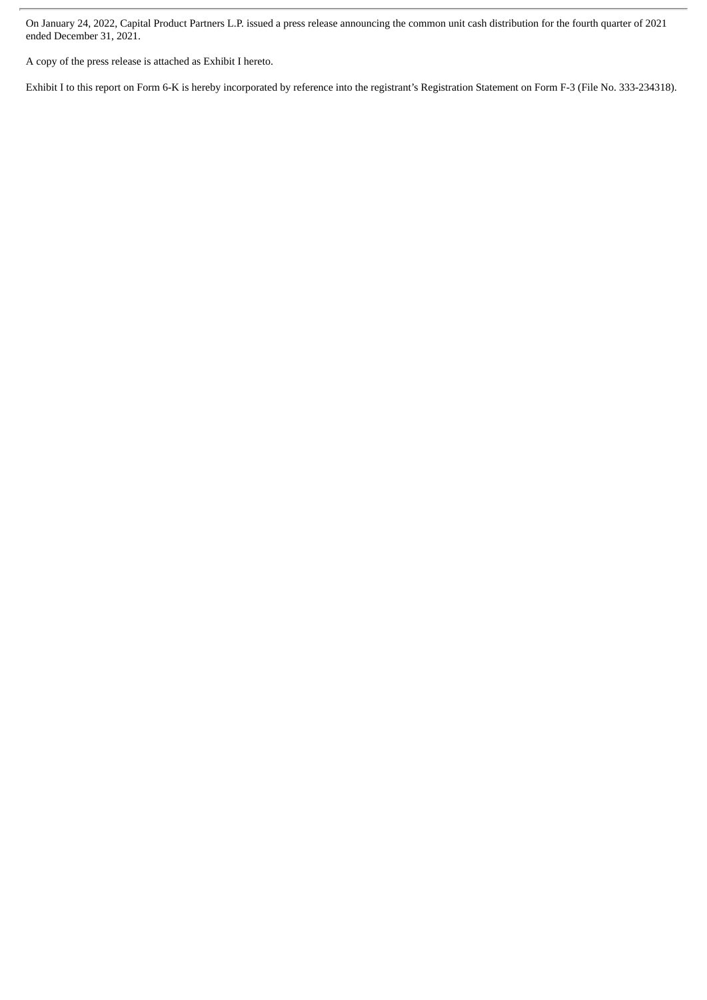On January 24, 2022, Capital Product Partners L.P. issued a press release announcing the common unit cash distribution for the fourth quarter of 2021 ended December 31, 2021.

A copy of the press release is attached as Exhibit I hereto.

Exhibit I to this report on Form 6-K is hereby incorporated by reference into the registrant's Registration Statement on Form F-3 (File No. 333-234318).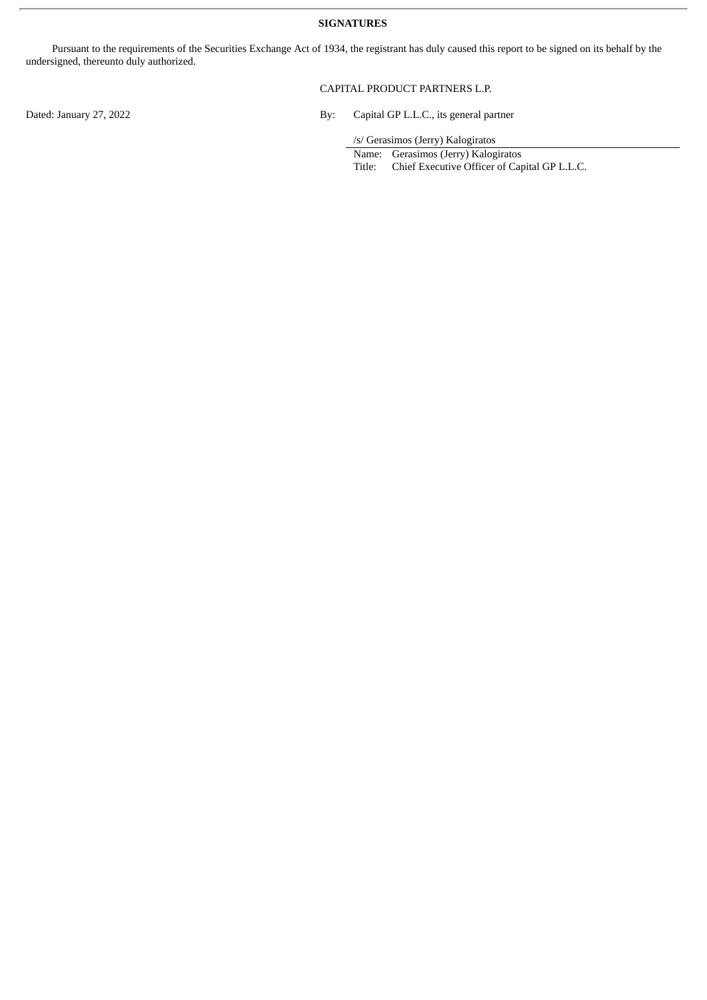#### **SIGNATURES**

Pursuant to the requirements of the Securities Exchange Act of 1934, the registrant has duly caused this report to be signed on its behalf by the undersigned, thereunto duly authorized.

#### CAPITAL PRODUCT PARTNERS L.P.

Dated: January 27, 2022 **By:** Capital GP L.L.C., its general partner

/s/ Gerasimos (Jerry) Kalogiratos

Name: Gerasimos (Jerry) Kalogiratos

Title: Chief Executive Officer of Capital GP L.L.C.